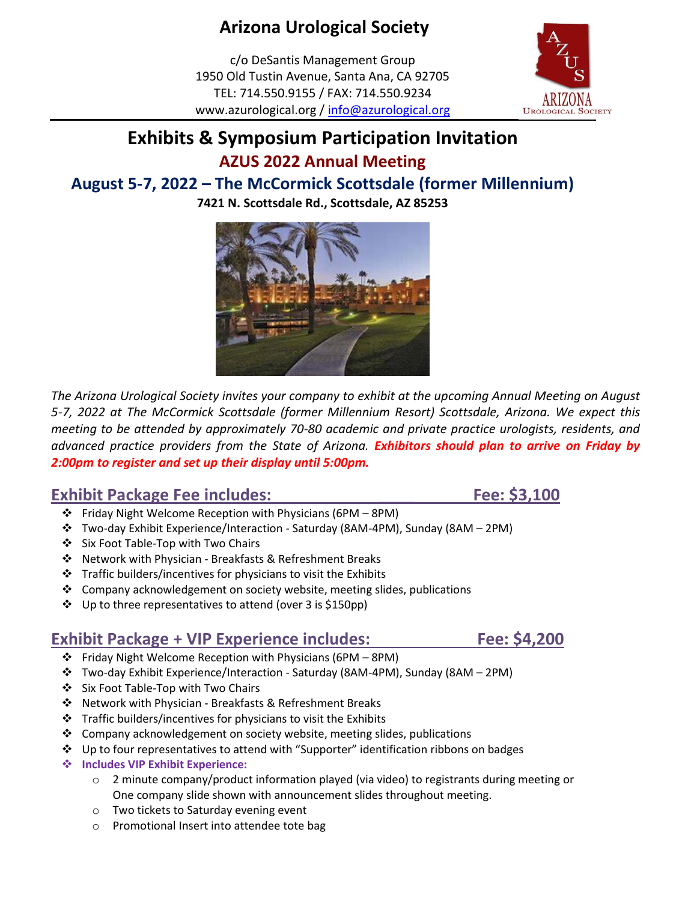# **Arizona Urological Society**

c/o DeSantis Management Group 1950 Old Tustin Avenue, Santa Ana, CA 92705 TEL: 714.550.9155 / FAX: 714.550.9234 www.azurological.org / [info@azurological.org](mailto:info@azurological.org)

### **Exhibits & Symposium Participation Invitation AZUS 2022 Annual Meeting**

### **August 5-7, 2022 – The McCormick Scottsdale (former Millennium)**

**7421 N. Scottsdale Rd., Scottsdale, AZ 85253**



*The Arizona Urological Society invites your company to exhibit at the upcoming Annual Meeting on August 5-7, 2022 at The McCormick Scottsdale (former Millennium Resort) Scottsdale, Arizona. We expect this meeting to be attended by approximately 70-80 academic and private practice urologists, residents, and advanced practice providers from the State of Arizona. Exhibitors should plan to arrive on Friday by 2:00pm to register and set up their display until 5:00pm.*

### **Exhibit Package Fee includes:** The state of the state of the state of the state of the state of the state of the state of the state of the state of the state of the state of the state of the state of the state of the stat

- ❖ Friday Night Welcome Reception with Physicians (6PM 8PM)
- ❖ Two-day Exhibit Experience/Interaction Saturday (8AM-4PM), Sunday (8AM 2PM)
- ❖ Six Foot Table-Top with Two Chairs
- ❖ Network with Physician Breakfasts & Refreshment Breaks
- ❖ Traffic builders/incentives for physicians to visit the Exhibits
- $\div$  Company acknowledgement on society website, meeting slides, publications
- ❖ Up to three representatives to attend (over 3 is \$150pp)

### **Exhibit Package + VIP Experience includes:** Fee: \$4,200

- ❖ Friday Night Welcome Reception with Physicians (6PM 8PM)
- ❖ Two-day Exhibit Experience/Interaction Saturday (8AM-4PM), Sunday (8AM 2PM)
- ❖ Six Foot Table-Top with Two Chairs
- ❖ Network with Physician Breakfasts & Refreshment Breaks
- ❖ Traffic builders/incentives for physicians to visit the Exhibits
- $\div$  Company acknowledgement on society website, meeting slides, publications
- ❖ Up to four representatives to attend with "Supporter" identification ribbons on badges
- ❖ **Includes VIP Exhibit Experience:**
	- $\circ$  2 minute company/product information played (via video) to registrants during meeting or One company slide shown with announcement slides throughout meeting.
	- o Two tickets to Saturday evening event
	- o Promotional Insert into attendee tote bag

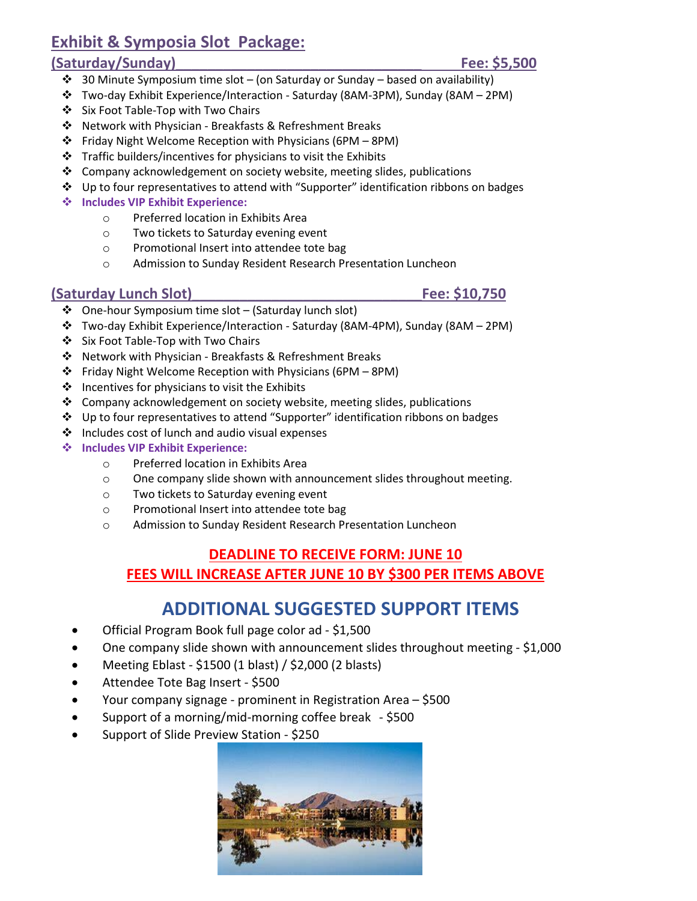### **Exhibit & Symposia Slot Package:**

### **(Saturday/Sunday)\_\_\_\_\_\_\_\_\_\_\_\_\_\_\_\_\_\_\_\_\_\_\_\_\_\_\_\_\_\_\_ Fee: \$5,500**

- ❖ 30 Minute Symposium time slot (on Saturday or Sunday based on availability)
- ❖ Two-day Exhibit Experience/Interaction Saturday (8AM-3PM), Sunday (8AM 2PM)
- ❖ Six Foot Table-Top with Two Chairs
- ❖ Network with Physician Breakfasts & Refreshment Breaks
- ❖ Friday Night Welcome Reception with Physicians (6PM 8PM)
- ❖ Traffic builders/incentives for physicians to visit the Exhibits
- ❖ Company acknowledgement on society website, meeting slides, publications
- ❖ Up to four representatives to attend with "Supporter" identification ribbons on badges
- ❖ **Includes VIP Exhibit Experience:**
	- o Preferred location in Exhibits Area
	- o Two tickets to Saturday evening event
	- o Promotional Insert into attendee tote bag
	- o Admission to Sunday Resident Research Presentation Luncheon

### **(Saturday Lunch Slot)\_\_\_\_\_\_\_\_\_\_\_\_\_\_\_\_\_\_\_\_\_\_\_\_\_\_\_\_\_Fee: \$10,750**

- ❖ One-hour Symposium time slot (Saturday lunch slot)
- ❖ Two-day Exhibit Experience/Interaction Saturday (8AM-4PM), Sunday (8AM 2PM)
- ❖ Six Foot Table-Top with Two Chairs
- ❖ Network with Physician Breakfasts & Refreshment Breaks
- ❖ Friday Night Welcome Reception with Physicians (6PM 8PM)
- ❖ Incentives for physicians to visit the Exhibits
- ❖ Company acknowledgement on society website, meeting slides, publications
- ❖ Up to four representatives to attend "Supporter" identification ribbons on badges
- ❖ Includes cost of lunch and audio visual expenses
- ❖ **Includes VIP Exhibit Experience:**
	- o Preferred location in Exhibits Area
	- o One company slide shown with announcement slides throughout meeting.
	- o Two tickets to Saturday evening event
	- o Promotional Insert into attendee tote bag
	- o Admission to Sunday Resident Research Presentation Luncheon

### **DEADLINE TO RECEIVE FORM: JUNE 10**

**FEES WILL INCREASE AFTER JUNE 10 BY \$300 PER ITEMS ABOVE**

### **ADDITIONAL SUGGESTED SUPPORT ITEMS**

- Official Program Book full page color ad \$1,500
- One company slide shown with announcement slides throughout meeting \$1,000
- Meeting Eblast \$1500 (1 blast) / \$2,000 (2 blasts)
- Attendee Tote Bag Insert \$500
- Your company signage prominent in Registration Area \$500
- Support of a morning/mid-morning coffee break \$500
- Support of Slide Preview Station \$250

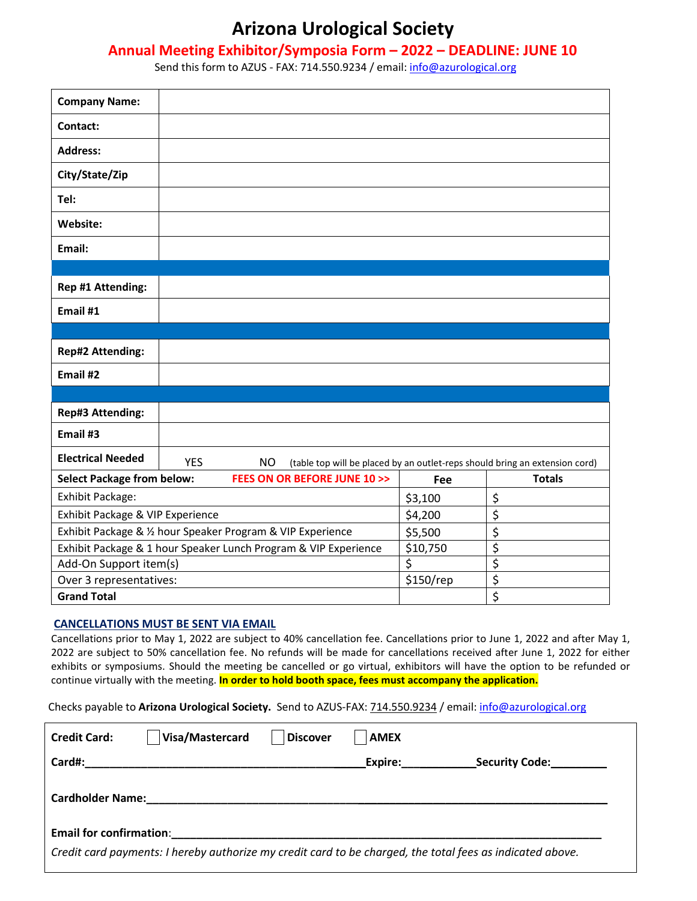### **Arizona Urological Society**

#### **Annual Meeting Exhibitor/Symposia Form – 2022 – DEADLINE: JUNE 10**

Send this form to AZUS - FAX: 714.550.9234 / email: [info@azurological.org](mailto:info@azurological.org)

| <b>Company Name:</b>                                            |            |                                           |    |         |                                                                             |
|-----------------------------------------------------------------|------------|-------------------------------------------|----|---------|-----------------------------------------------------------------------------|
| Contact:                                                        |            |                                           |    |         |                                                                             |
| <b>Address:</b>                                                 |            |                                           |    |         |                                                                             |
| City/State/Zip                                                  |            |                                           |    |         |                                                                             |
| Tel:                                                            |            |                                           |    |         |                                                                             |
| Website:                                                        |            |                                           |    |         |                                                                             |
| Email:                                                          |            |                                           |    |         |                                                                             |
|                                                                 |            |                                           |    |         |                                                                             |
| Rep #1 Attending:                                               |            |                                           |    |         |                                                                             |
| Email #1                                                        |            |                                           |    |         |                                                                             |
|                                                                 |            |                                           |    |         |                                                                             |
| <b>Rep#2 Attending:</b>                                         |            |                                           |    |         |                                                                             |
| Email #2                                                        |            |                                           |    |         |                                                                             |
|                                                                 |            |                                           |    |         |                                                                             |
| Rep#3 Attending:                                                |            |                                           |    |         |                                                                             |
| Email #3                                                        |            |                                           |    |         |                                                                             |
| <b>Electrical Needed</b>                                        | <b>YES</b> | <b>NO</b>                                 |    |         | (table top will be placed by an outlet-reps should bring an extension cord) |
| <b>Select Package from below:</b>                               |            | <b>FEES ON OR BEFORE JUNE 10 &gt;&gt;</b> |    | Fee     | <b>Totals</b>                                                               |
| Exhibit Package:                                                |            |                                           |    | \$3,100 | \$                                                                          |
| Exhibit Package & VIP Experience                                |            | \$4,200                                   | \$ |         |                                                                             |
| Exhibit Package & 1/2 hour Speaker Program & VIP Experience     |            | \$5,500                                   | \$ |         |                                                                             |
| Exhibit Package & 1 hour Speaker Lunch Program & VIP Experience |            | \$10,750                                  | \$ |         |                                                                             |
| Add-On Support item(s)                                          |            |                                           | \$ | \$      |                                                                             |
| Over 3 representatives:                                         |            | \$150/rep                                 | \$ |         |                                                                             |
| <b>Grand Total</b>                                              |            |                                           |    | \$      |                                                                             |

#### **CANCELLATIONS MUST BE SENT VIA EMAIL**

Cancellations prior to May 1, 2022 are subject to 40% cancellation fee. Cancellations prior to June 1, 2022 and after May 1, 2022 are subject to 50% cancellation fee. No refunds will be made for cancellations received after June 1, 2022 for either exhibits or symposiums. Should the meeting be cancelled or go virtual, exhibitors will have the option to be refunded or continue virtually with the meeting. **In order to hold booth space, fees must accompany the application.**

Checks payable to **Arizona Urological Society.** Send to AZUS-FAX: 714.550.9234 / email[: info@azurological.org](mailto:info@azurological.org)

| <b>Credit Card:</b>            | Visa/Mastercard | <b>Discover</b> | <b>AMEX</b> |                                                                                                           |
|--------------------------------|-----------------|-----------------|-------------|-----------------------------------------------------------------------------------------------------------|
| Card#:                         |                 |                 | Expire:     | <b>Security Code:</b>                                                                                     |
| <b>Cardholder Name:</b>        |                 |                 |             |                                                                                                           |
| <b>Email for confirmation:</b> |                 |                 |             |                                                                                                           |
|                                |                 |                 |             | Credit card payments: I hereby authorize my credit card to be charged, the total fees as indicated above. |